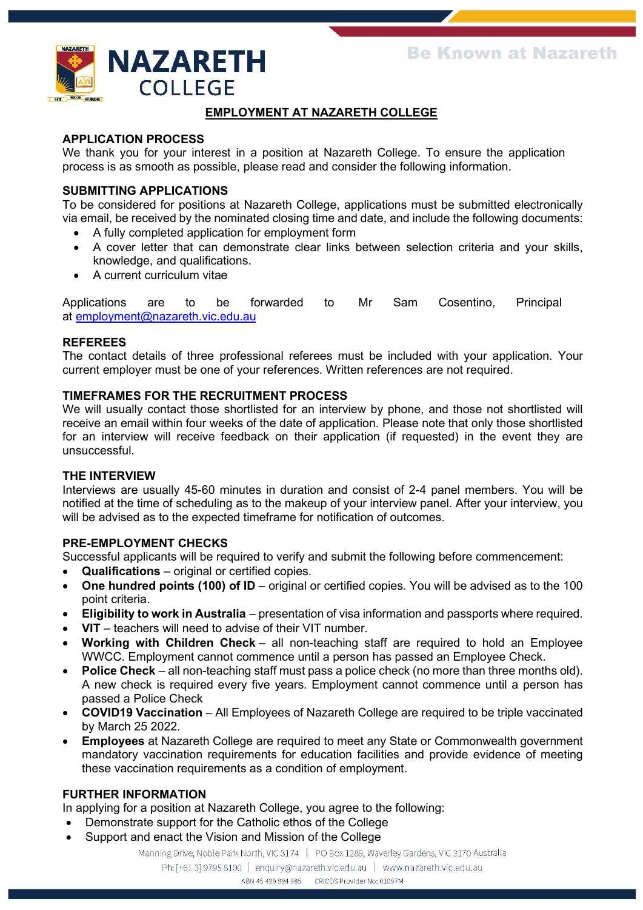

# **EMPLOYMENT AT NAZARETH COLLEGE**

## **APPLICATION PROCESS**

We thank you for your interest in a position at Nazareth College. To ensure the application process is as smooth as possible, please read and consider the following information.

## **SUBMITTING APPLICATIONS**

To be considered for positions at Nazareth College, applications must be submitted electronically via email, be received by the nominated closing time and date, and include the following documents:

- A fully completed application for employment form
- A cover letter that can demonstrate clear links between selection criteria and your skills, knowledge, and qualifications.
- A current curriculum vitae

Applications are to be forwarded to Mr Sam Cosentino, Principal at [employment@nazareth.vic.edu.au](mailto:employment@nazareth.vic.edu.au)

#### **REFEREES**

The contact details of three professional referees must be included with your application. Your current employer must be one of your references. Written references are not required.

#### **TIMEFRAMES FOR THE RECRUITMENT PROCESS**

We will usually contact those shortlisted for an interview by phone, and those not shortlisted will receive an email within four weeks of the date of application. Please note that only those shortlisted for an interview will receive feedback on their application (if requested) in the event they are unsuccessful.

#### **THE INTERVIEW**

Interviews are usually 45-60 minutes in duration and consist of 2-4 panel members. You will be notified at the time of scheduling as to the makeup of your interview panel. After your interview, you will be advised as to the expected timeframe for notification of outcomes.

#### **PRE-EMPLOYMENT CHECKS**

Successful applicants will be required to verify and submit the following before commencement:

- **Qualifications** original or certified copies.
- **One hundred points (100) of ID** original or certified copies. You will be advised as to the 100 point criteria.
- **Eligibility to work in Australia** presentation of visa information and passports where required.
- **VIT** teachers will need to advise of their VIT number.
- **Working with Children Check** all non-teaching staff are required to hold an Employee WWCC. Employment cannot commence until a person has passed an Employee Check.
- **Police Check** all non-teaching staff must pass a police check (no more than three months old). A new check is required every five years. Employment cannot commence until a person has passed a Police Check
- **COVID19 Vaccination**  All Employees of Nazareth College are required to be triple vaccinated by March 25 2022.
- **Employees** at Nazareth College are required to meet any State or Commonwealth government mandatory vaccination requirements for education facilities and provide evidence of meeting these vaccination requirements as a condition of employment.

#### **FURTHER INFORMATION**

In applying for a position at Nazareth College, you agree to the following:

- Demonstrate support for the Catholic ethos of the College
- Support and enact the Vision and Mission of the College